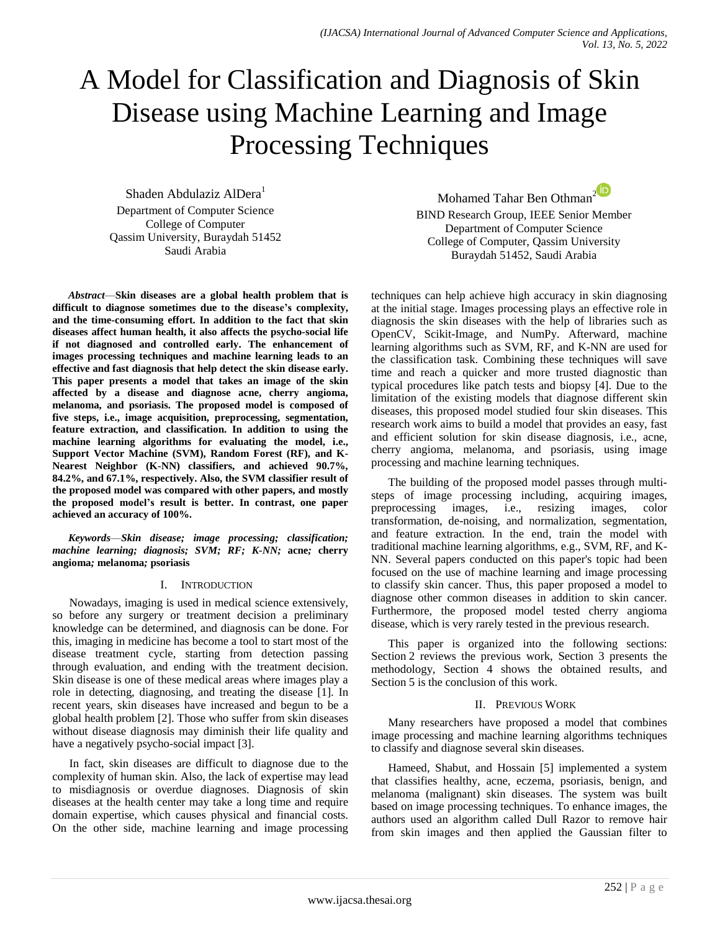# A Model for Classification and Diagnosis of Skin Disease using Machine Learning and Image Processing Techniques

Shaden Abdulaziz AlDera<sup>1</sup> Department of Computer Science College of Computer Qassim University, Buraydah 51452 Saudi Arabia

*Abstract*—**Skin diseases are a global health problem that is difficult to diagnose sometimes due to the disease's complexity, and the time-consuming effort. In addition to the fact that skin diseases affect human health, it also affects the psycho-social life if not diagnosed and controlled early. The enhancement of images processing techniques and machine learning leads to an effective and fast diagnosis that help detect the skin disease early. This paper presents a model that takes an image of the skin affected by a disease and diagnose acne, cherry angioma, melanoma, and psoriasis. The proposed model is composed of five steps, i.e., image acquisition, preprocessing, segmentation, feature extraction, and classification. In addition to using the machine learning algorithms for evaluating the model, i.e., Support Vector Machine (SVM), Random Forest (RF), and K-Nearest Neighbor (K-NN) classifiers, and achieved 90.7%, 84.2%, and 67.1%, respectively. Also, the SVM classifier result of the proposed model was compared with other papers, and mostly the proposed model's result is better. In contrast, one paper achieved an accuracy of 100%.**

*Keywords*—*Skin disease; image processing; classification; machine learning; diagnosis; SVM; RF; K-NN;* **acne***;* **cherry angioma***;* **melanoma***;* **psoriasis**

### I. INTRODUCTION

Nowadays, imaging is used in medical science extensively, so before any surgery or treatment decision a preliminary knowledge can be determined, and diagnosis can be done. For this, imaging in medicine has become a tool to start most of the disease treatment cycle, starting from detection passing through evaluation, and ending with the treatment decision. Skin disease is one of these medical areas where images play a role in detecting, diagnosing, and treating the disease [1]. In recent years, skin diseases have increased and begun to be a global health problem [2]. Those who suffer from skin diseases without disease diagnosis may diminish their life quality and have a negatively psycho-social impact [3].

In fact, skin diseases are difficult to diagnose due to the complexity of human skin. Also, the lack of expertise may lead to misdiagnosis or overdue diagnoses. Diagnosis of skin diseases at the health center may take a long time and require domain expertise, which causes physical and financial costs. On the other side, machine learning and image processing

Mohamed Tahar Ben Othman<sup>[2](https://orcid.org/my-orcid?orcid=0000-0002-0990-5805)</sub></sup> BIND Research Group, IEEE Senior Member Department of Computer Science College of Computer, Qassim University Buraydah 51452, Saudi Arabia

techniques can help achieve high accuracy in skin diagnosing at the initial stage. Images processing plays an effective role in diagnosis the skin diseases with the help of libraries such as OpenCV, Scikit-Image, and NumPy. Afterward, machine learning algorithms such as SVM, RF, and K-NN are used for the classification task. Combining these techniques will save time and reach a quicker and more trusted diagnostic than typical procedures like patch tests and biopsy [4]. Due to the limitation of the existing models that diagnose different skin diseases, this proposed model studied four skin diseases. This research work aims to build a model that provides an easy, fast and efficient solution for skin disease diagnosis, i.e., acne, cherry angioma, melanoma, and psoriasis, using image processing and machine learning techniques.

The building of the proposed model passes through multisteps of image processing including, acquiring images, preprocessing images, i.e., resizing images, color transformation, de-noising, and normalization, segmentation, and feature extraction. In the end, train the model with traditional machine learning algorithms, e.g., SVM, RF, and K-NN. Several papers conducted on this paper's topic had been focused on the use of machine learning and image processing to classify skin cancer. Thus, this paper proposed a model to diagnose other common diseases in addition to skin cancer. Furthermore, the proposed model tested cherry angioma disease, which is very rarely tested in the previous research.

This paper is organized into the following sections: Section 2 reviews the previous work, Section 3 presents the methodology, Section 4 shows the obtained results, and Section 5 is the conclusion of this work.

### II. PREVIOUS WORK

Many researchers have proposed a model that combines image processing and machine learning algorithms techniques to classify and diagnose several skin diseases.

Hameed, Shabut, and Hossain [5] implemented a system that classifies healthy, acne, eczema, psoriasis, benign, and melanoma (malignant) skin diseases. The system was built based on image processing techniques. To enhance images, the authors used an algorithm called Dull Razor to remove hair from skin images and then applied the Gaussian filter to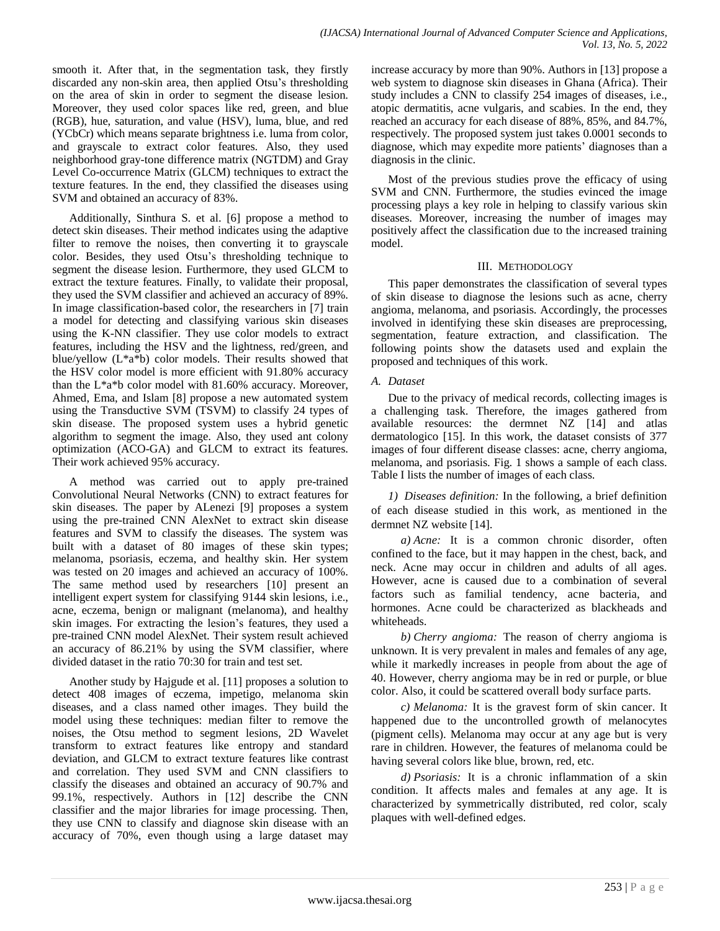smooth it. After that, in the segmentation task, they firstly discarded any non-skin area, then applied Otsu's thresholding on the area of skin in order to segment the disease lesion. Moreover, they used color spaces like red, green, and blue (RGB), hue, saturation, and value (HSV), luma, blue, and red (YCbCr) which means separate brightness i.e. luma from color, and grayscale to extract color features. Also, they used neighborhood gray-tone difference matrix (NGTDM) and Gray Level Co-occurrence Matrix (GLCM) techniques to extract the texture features. In the end, they classified the diseases using SVM and obtained an accuracy of 83%.

Additionally, Sinthura S. et al. [6] propose a method to detect skin diseases. Their method indicates using the adaptive filter to remove the noises, then converting it to grayscale color. Besides, they used Otsu's thresholding technique to segment the disease lesion. Furthermore, they used GLCM to extract the texture features. Finally, to validate their proposal, they used the SVM classifier and achieved an accuracy of 89%. In image classification-based color, the researchers in [7] train a model for detecting and classifying various skin diseases using the K-NN classifier. They use color models to extract features, including the HSV and the lightness, red/green, and blue/yellow  $(L^*a^*b)$  color models. Their results showed that the HSV color model is more efficient with 91.80% accuracy than the L\*a\*b color model with 81.60% accuracy. Moreover, Ahmed, Ema, and Islam [8] propose a new automated system using the Transductive SVM (TSVM) to classify 24 types of skin disease. The proposed system uses a hybrid genetic algorithm to segment the image. Also, they used ant colony optimization (ACO-GA) and GLCM to extract its features. Their work achieved 95% accuracy.

A method was carried out to apply pre-trained Convolutional Neural Networks (CNN) to extract features for skin diseases. The paper by ALenezi [9] proposes a system using the pre-trained CNN AlexNet to extract skin disease features and SVM to classify the diseases. The system was built with a dataset of 80 images of these skin types; melanoma, psoriasis, eczema, and healthy skin. Her system was tested on 20 images and achieved an accuracy of 100%. The same method used by researchers [10] present an intelligent expert system for classifying 9144 skin lesions, i.e., acne, eczema, benign or malignant (melanoma), and healthy skin images. For extracting the lesion's features, they used a pre-trained CNN model AlexNet. Their system result achieved an accuracy of 86.21% by using the SVM classifier, where divided dataset in the ratio 70:30 for train and test set.

Another study by Hajgude et al. [11] proposes a solution to detect 408 images of eczema, impetigo, melanoma skin diseases, and a class named other images. They build the model using these techniques: median filter to remove the noises, the Otsu method to segment lesions, 2D Wavelet transform to extract features like entropy and standard deviation, and GLCM to extract texture features like contrast and correlation. They used SVM and CNN classifiers to classify the diseases and obtained an accuracy of 90.7% and 99.1%, respectively. Authors in [12] describe the CNN classifier and the major libraries for image processing. Then, they use CNN to classify and diagnose skin disease with an accuracy of 70%, even though using a large dataset may

increase accuracy by more than 90%. Authors in [13] propose a web system to diagnose skin diseases in Ghana (Africa). Their study includes a CNN to classify 254 images of diseases, i.e., atopic dermatitis, acne vulgaris, and scabies. In the end, they reached an accuracy for each disease of 88%, 85%, and 84.7%, respectively. The proposed system just takes 0.0001 seconds to diagnose, which may expedite more patients' diagnoses than a diagnosis in the clinic.

Most of the previous studies prove the efficacy of using SVM and CNN. Furthermore, the studies evinced the image processing plays a key role in helping to classify various skin diseases. Moreover, increasing the number of images may positively affect the classification due to the increased training model.

### III. METHODOLOGY

This paper demonstrates the classification of several types of skin disease to diagnose the lesions such as acne, cherry angioma, melanoma, and psoriasis. Accordingly, the processes involved in identifying these skin diseases are preprocessing, segmentation, feature extraction, and classification. The following points show the datasets used and explain the proposed and techniques of this work.

## *A. Dataset*

Due to the privacy of medical records, collecting images is a challenging task. Therefore, the images gathered from available resources: the dermnet NZ [14] and atlas dermatologico [15]. In this work, the dataset consists of 377 images of four different disease classes: acne, cherry angioma, melanoma, and psoriasis. Fig. 1 shows a sample of each class. Table I lists the number of images of each class.

*1) Diseases definition:* In the following, a brief definition of each disease studied in this work, as mentioned in the dermnet NZ website [14].

*a) Acne:* It is a common chronic disorder, often confined to the face, but it may happen in the chest, back, and neck. Acne may occur in children and adults of all ages. However, acne is caused due to a combination of several factors such as familial tendency, acne bacteria, and hormones. Acne could be characterized as blackheads and whiteheads.

*b) Cherry angioma:* The reason of cherry angioma is unknown. It is very prevalent in males and females of any age, while it markedly increases in people from about the age of 40. However, cherry angioma may be in red or purple, or blue color. Also, it could be scattered overall body surface parts.

*c) Melanoma:* It is the gravest form of skin cancer. It happened due to the uncontrolled growth of melanocytes (pigment cells). Melanoma may occur at any age but is very rare in children. However, the features of melanoma could be having several colors like blue, brown, red, etc.

*d) Psoriasis:* It is a chronic inflammation of a skin condition. It affects males and females at any age. It is characterized by symmetrically distributed, red color, scaly plaques with well-defined edges.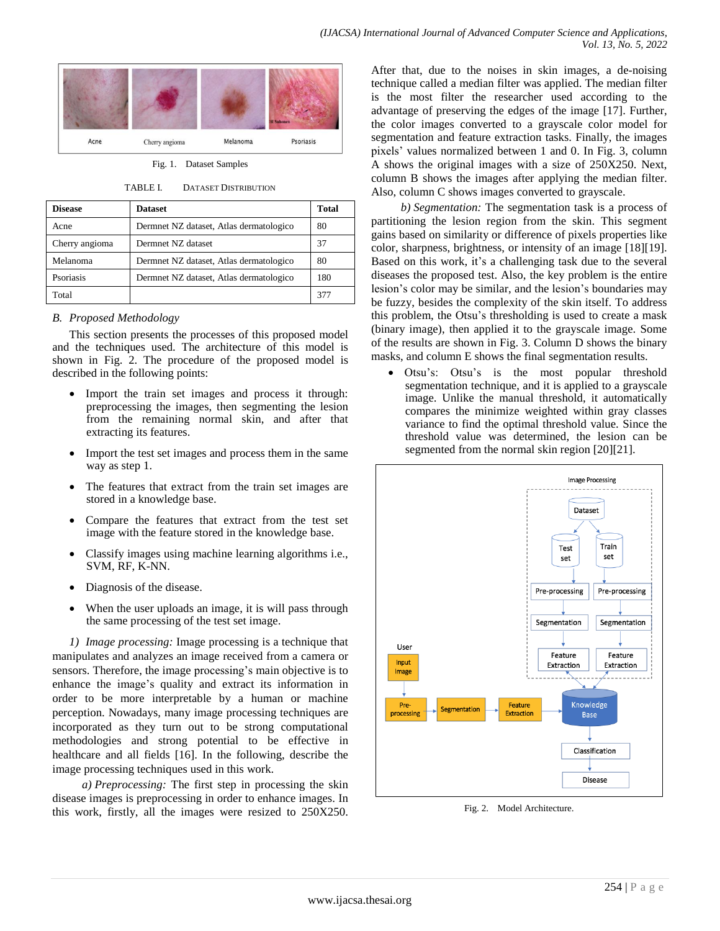

Fig. 1. Dataset Samples

TABLE I. DATASET DISTRIBUTION

| <b>Disease</b> | <b>Dataset</b>                          | <b>Total</b> |
|----------------|-----------------------------------------|--------------|
| Acne           | Dermnet NZ dataset, Atlas dermatologico | 80           |
| Cherry angioma | Dermnet NZ dataset                      | 37           |
| Melanoma       | Dermnet NZ dataset, Atlas dermatologico | 80           |
| Psoriasis      | Dermnet NZ dataset, Atlas dermatologico | 180          |
| Total          |                                         |              |

### *B. Proposed Methodology*

This section presents the processes of this proposed model and the techniques used. The architecture of this model is shown in Fig. 2. The procedure of the proposed model is described in the following points:

- Import the train set images and process it through: preprocessing the images, then segmenting the lesion from the remaining normal skin, and after that extracting its features.
- Import the test set images and process them in the same way as step 1.
- The features that extract from the train set images are stored in a knowledge base.
- Compare the features that extract from the test set image with the feature stored in the knowledge base.
- Classify images using machine learning algorithms i.e., SVM, RF, K-NN.
- Diagnosis of the disease.
- When the user uploads an image, it is will pass through the same processing of the test set image.

*1) Image processing:* Image processing is a technique that manipulates and analyzes an image received from a camera or sensors. Therefore, the image processing's main objective is to enhance the image's quality and extract its information in order to be more interpretable by a human or machine perception. Nowadays, many image processing techniques are incorporated as they turn out to be strong computational methodologies and strong potential to be effective in healthcare and all fields [16]. In the following, describe the image processing techniques used in this work.

*a) Preprocessing:* The first step in processing the skin disease images is preprocessing in order to enhance images. In this work, firstly, all the images were resized to 250X250.

After that, due to the noises in skin images, a de-noising technique called a median filter was applied. The median filter is the most filter the researcher used according to the advantage of preserving the edges of the image [17]. Further, the color images converted to a grayscale color model for segmentation and feature extraction tasks. Finally, the images pixels' values normalized between 1 and 0. In Fig. 3, column A shows the original images with a size of 250X250. Next, column B shows the images after applying the median filter. Also, column C shows images converted to grayscale.

*b) Segmentation:* The segmentation task is a process of partitioning the lesion region from the skin. This segment gains based on similarity or difference of pixels properties like color, sharpness, brightness, or intensity of an image [18][19]. Based on this work, it's a challenging task due to the several diseases the proposed test. Also, the key problem is the entire lesion's color may be similar, and the lesion's boundaries may be fuzzy, besides the complexity of the skin itself. To address this problem, the Otsu's thresholding is used to create a mask (binary image), then applied it to the grayscale image. Some of the results are shown in Fig. 3. Column D shows the binary masks, and column E shows the final segmentation results.

 Otsu's: Otsu's is the most popular threshold segmentation technique, and it is applied to a grayscale image. Unlike the manual threshold, it automatically compares the minimize weighted within gray classes variance to find the optimal threshold value. Since the threshold value was determined, the lesion can be segmented from the normal skin region [20][21].



Fig. 2. Model Architecture.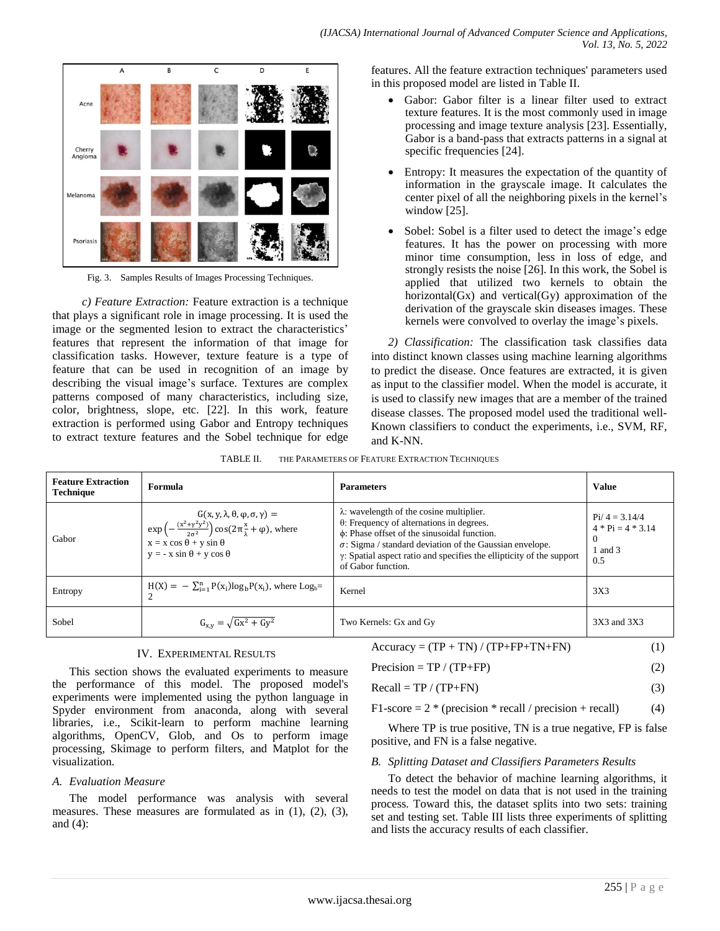

Fig. 3. Samples Results of Images Processing Techniques.

*c) Feature Extraction:* Feature extraction is a technique that plays a significant role in image processing. It is used the image or the segmented lesion to extract the characteristics' features that represent the information of that image for classification tasks. However, texture feature is a type of feature that can be used in recognition of an image by describing the visual image's surface. Textures are complex patterns composed of many characteristics, including size, color, brightness, slope, etc. [22]. In this work, feature extraction is performed using Gabor and Entropy techniques to extract texture features and the Sobel technique for edge features. All the feature extraction techniques' parameters used in this proposed model are listed in Table II.

- Gabor: Gabor filter is a linear filter used to extract texture features. It is the most commonly used in image processing and image texture analysis [23]. Essentially, Gabor is a band-pass that extracts patterns in a signal at specific frequencies [24].
- Entropy: It measures the expectation of the quantity of information in the grayscale image. It calculates the center pixel of all the neighboring pixels in the kernel's window [25].
- Sobel: Sobel is a filter used to detect the image's edge features. It has the power on processing with more minor time consumption, less in loss of edge, and strongly resists the noise [26]. In this work, the Sobel is applied that utilized two kernels to obtain the horizontal $(Gx)$  and vertical $(Gy)$  approximation of the derivation of the grayscale skin diseases images. These kernels were convolved to overlay the image's pixels.

*2) Classification:* The classification task classifies data into distinct known classes using machine learning algorithms to predict the disease. Once features are extracted, it is given as input to the classifier model. When the model is accurate, it is used to classify new images that are a member of the trained disease classes. The proposed model used the traditional well-Known classifiers to conduct the experiments, i.e., SVM, RF, and K-NN.

| TABLE II. | THE PARAMETERS OF FEATURE EXTRACTION TECHNIQUES |
|-----------|-------------------------------------------------|
|           |                                                 |

| <b>Feature Extraction</b><br><b>Technique</b> | Formula                                                                                                                                                                                                                                                                                     | <b>Parameters</b>                                                                                                                                                                                                                                                                                                                  | <b>Value</b>                                                         |
|-----------------------------------------------|---------------------------------------------------------------------------------------------------------------------------------------------------------------------------------------------------------------------------------------------------------------------------------------------|------------------------------------------------------------------------------------------------------------------------------------------------------------------------------------------------------------------------------------------------------------------------------------------------------------------------------------|----------------------------------------------------------------------|
| Gabor                                         | $\Big\vert \begin{array}{c} G(x,y,\lambda,\theta,\varphi,\sigma,\gamma)=\\ \exp\left(-\frac{(x^2+\gamma^2y^2)}{2\sigma^2}\right)\cos(2\pi\frac{x}{\lambda}+\varphi), \text{ where} \end{array} \label{eq:G}$<br>$x = x \cos \theta + y \sin \theta$<br>$y = -x \sin \theta + y \cos \theta$ | $\lambda$ : wavelength of the cosine multiplier.<br>$\theta$ : Frequency of alternations in degrees.<br>$\phi$ : Phase offset of the sinusoidal function.<br>$\sigma$ : Sigma / standard deviation of the Gaussian envelope.<br>$\gamma$ : Spatial aspect ratio and specifies the ellipticity of the support<br>of Gabor function. | $Pi/4 = 3.14/4$<br>$4 * Pi = 4 * 3.14$<br>$\theta$<br>1 and 3<br>0.5 |
| Entropy                                       | $H(X) = -\sum_{i=1}^{n} P(x_i) \log_b P(x_i)$ , where Log <sub>b</sub> =                                                                                                                                                                                                                    | Kernel                                                                                                                                                                                                                                                                                                                             | 3X3                                                                  |
| Sobel                                         | $G_{x,y} = \sqrt{Gx^2 + Gy^2}$                                                                                                                                                                                                                                                              | Two Kernels: Gx and Gy                                                                                                                                                                                                                                                                                                             | 3X3 and 3X3                                                          |

## IV. EXPERIMENTAL RESULTS

This section shows the evaluated experiments to measure the performance of this model. The proposed model's experiments were implemented using the python language in Spyder environment from anaconda, along with several libraries, i.e., Scikit-learn to perform machine learning algorithms, OpenCV, Glob, and Os to perform image processing, Skimage to perform filters, and Matplot for the visualization.

## *A. Evaluation Measure*

The model performance was analysis with several measures. These measures are formulated as in (1), (2), (3), and (4):

| $Accuracy = (TP + TN) / (TP + FP + TN + FN)$ |  |
|----------------------------------------------|--|
|                                              |  |

| $Precision = TP / (TP + FP)$ |  |
|------------------------------|--|
|                              |  |

$$
Recall = TP / (TP + FN)
$$
 (3)

$$
F1\text{-score} = 2 * (precision * recall / precision + recall)
$$
 (4)

Where TP is true positive, TN is a true negative, FP is false positive, and FN is a false negative.

## *B. Splitting Dataset and Classifiers Parameters Results*

To detect the behavior of machine learning algorithms, it needs to test the model on data that is not used in the training process. Toward this, the dataset splits into two sets: training set and testing set. Table III lists three experiments of splitting and lists the accuracy results of each classifier.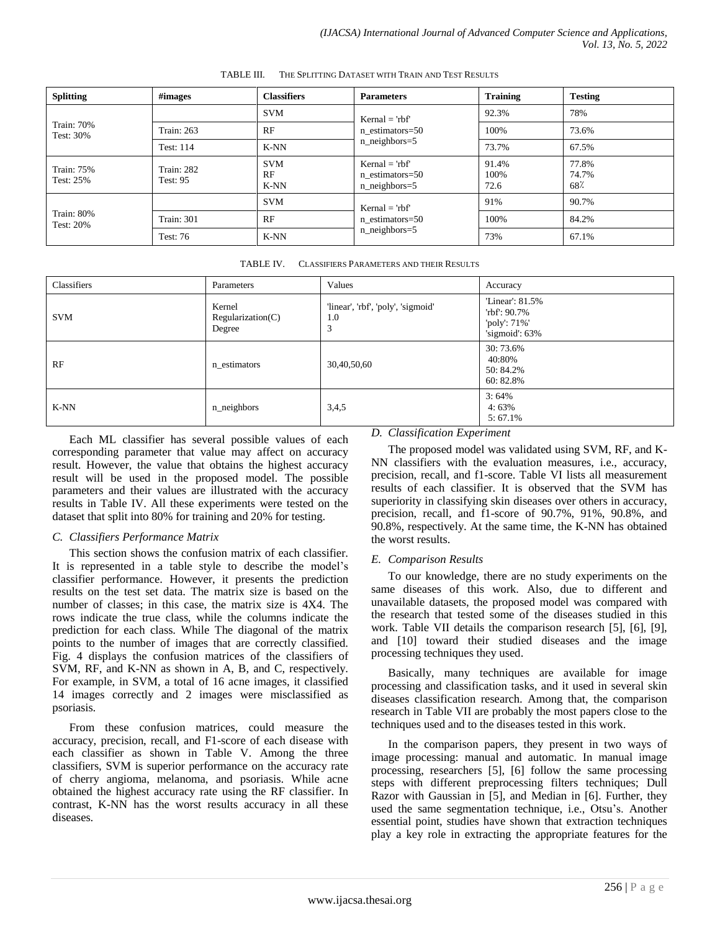| <b>Splitting</b>               | #images                       | <b>Classifiers</b>       | <b>Parameters</b>                                      | <b>Training</b>       | <b>Testing</b>        |
|--------------------------------|-------------------------------|--------------------------|--------------------------------------------------------|-----------------------|-----------------------|
|                                |                               | <b>SVM</b>               | $Kernal = rbf$<br>n estimators=50<br>$n$ _neighbors=5  | 92.3%                 | 78%                   |
| <b>Train: 70%</b><br>Test: 30% | <b>Train: 263</b>             | RF                       |                                                        | 100%                  | 73.6%                 |
|                                | Test: 114                     | K-NN                     |                                                        | 73.7%                 | 67.5%                 |
| Train: 75%<br>Test: 25%        | Train: 282<br><b>Test: 95</b> | <b>SVM</b><br>RF<br>K-NN | $Kernal = 'rbf'$<br>n estimators=50<br>$n$ neighbors=5 | 91.4%<br>100%<br>72.6 | 77.8%<br>74.7%<br>68% |
| <b>Train: 80%</b><br>Test: 20% |                               | <b>SVM</b>               | $Kernal = rbf$<br>n estimators=50<br>$n$ _neighbors=5  | 91%                   | 90.7%                 |
|                                | <b>Train: 301</b>             | RF                       |                                                        | 100%                  | 84.2%                 |
|                                | <b>Test: 76</b>               | K-NN                     |                                                        | 73%                   | 67.1%                 |

TABLE III. THE SPLITTING DATASET WITH TRAIN AND TEST RESULTS

TABLE IV. CLASSIFIERS PARAMETERS AND THEIR RESULTS

| Classifiers | Parameters                            | Values                                         | Accuracy                                                            |
|-------------|---------------------------------------|------------------------------------------------|---------------------------------------------------------------------|
| <b>SVM</b>  | Kernel<br>Regularization(C)<br>Degree | 'linear', 'rbf', 'poly', 'sigmoid'<br>1.0<br>3 | 'Linear': 81.5%<br>'rbf': 90.7%<br>'poly': 71%'<br>'sigmoid': $63%$ |
| RF          | n estimators                          | 30,40,50,60                                    | 30:73.6%<br>40:80%<br>50: 84.2%<br>60:82.8%                         |
| K-NN        | n_neighbors                           | 3,4,5                                          | 3:64%<br>4:63%<br>$5:67.1\%$                                        |

Each ML classifier has several possible values of each corresponding parameter that value may affect on accuracy result. However, the value that obtains the highest accuracy result will be used in the proposed model. The possible parameters and their values are illustrated with the accuracy results in Table IV. All these experiments were tested on the dataset that split into 80% for training and 20% for testing.

## *C. Classifiers Performance Matrix*

This section shows the confusion matrix of each classifier. It is represented in a table style to describe the model's classifier performance. However, it presents the prediction results on the test set data. The matrix size is based on the number of classes; in this case, the matrix size is 4X4. The rows indicate the true class, while the columns indicate the prediction for each class. While The diagonal of the matrix points to the number of images that are correctly classified. Fig. 4 displays the confusion matrices of the classifiers of SVM, RF, and K-NN as shown in A, B, and C, respectively. For example, in SVM, a total of 16 acne images, it classified 14 images correctly and 2 images were misclassified as psoriasis.

From these confusion matrices, could measure the accuracy, precision, recall, and F1-score of each disease with each classifier as shown in Table V. Among the three classifiers, SVM is superior performance on the accuracy rate of cherry angioma, melanoma, and psoriasis. While acne obtained the highest accuracy rate using the RF classifier. In contrast, K-NN has the worst results accuracy in all these diseases.

# *D. Classification Experiment*

The proposed model was validated using SVM, RF, and K-NN classifiers with the evaluation measures, i.e., accuracy, precision, recall, and f1-score. Table VI lists all measurement results of each classifier. It is observed that the SVM has superiority in classifying skin diseases over others in accuracy, precision, recall, and f1-score of 90.7%, 91%, 90.8%, and 90.8%, respectively. At the same time, the K-NN has obtained the worst results.

## *E. Comparison Results*

To our knowledge, there are no study experiments on the same diseases of this work. Also, due to different and unavailable datasets, the proposed model was compared with the research that tested some of the diseases studied in this work. Table VII details the comparison research [5], [6], [9], and [10] toward their studied diseases and the image processing techniques they used.

Basically, many techniques are available for image processing and classification tasks, and it used in several skin diseases classification research. Among that, the comparison research in Table VII are probably the most papers close to the techniques used and to the diseases tested in this work.

In the comparison papers, they present in two ways of image processing: manual and automatic. In manual image processing, researchers [5], [6] follow the same processing steps with different preprocessing filters techniques; Dull Razor with Gaussian in [5], and Median in [6]. Further, they used the same segmentation technique, i.e., Otsu's. Another essential point, studies have shown that extraction techniques play a key role in extracting the appropriate features for the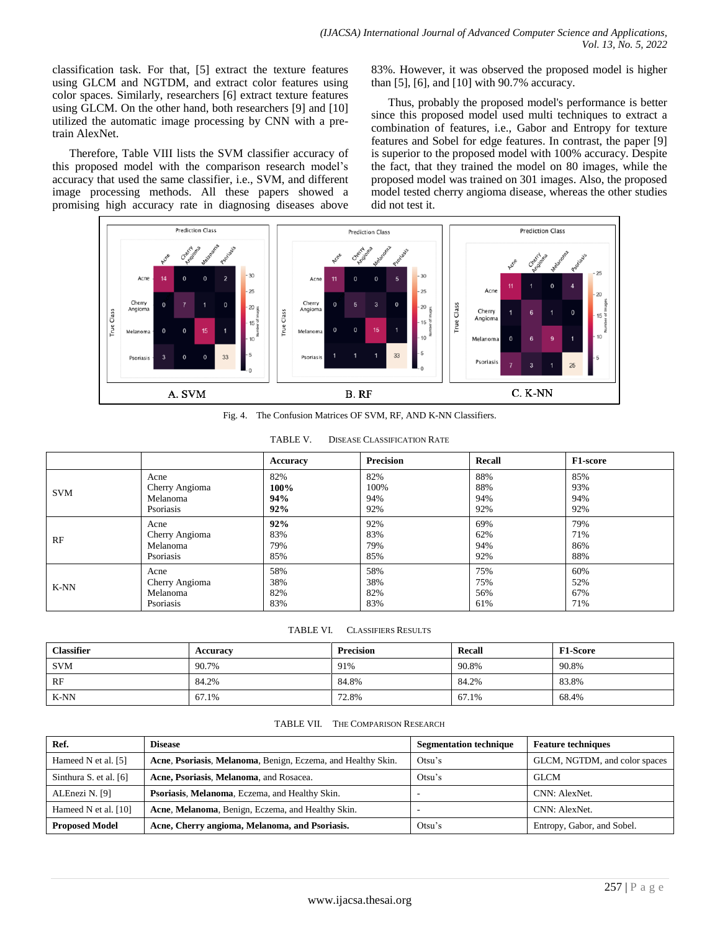classification task. For that, [5] extract the texture features using GLCM and NGTDM, and extract color features using color spaces. Similarly, researchers [6] extract texture features using GLCM. On the other hand, both researchers [9] and [10] utilized the automatic image processing by CNN with a pretrain AlexNet.

Therefore, Table VIII lists the SVM classifier accuracy of this proposed model with the comparison research model's accuracy that used the same classifier, i.e., SVM, and different image processing methods. All these papers showed a promising high accuracy rate in diagnosing diseases above

83%. However, it was observed the proposed model is higher than [5], [6], and [10] with 90.7% accuracy.

Thus, probably the proposed model's performance is better since this proposed model used multi techniques to extract a combination of features, i.e., Gabor and Entropy for texture features and Sobel for edge features. In contrast, the paper [9] is superior to the proposed model with 100% accuracy. Despite the fact, that they trained the model on 80 images, while the proposed model was trained on 301 images. Also, the proposed model tested cherry angioma disease, whereas the other studies did not test it.



Fig. 4. The Confusion Matrices OF SVM, RF, AND K-NN Classifiers.

|            |                | Accuracy | <b>Precision</b> | Recall | <b>F1-score</b> |
|------------|----------------|----------|------------------|--------|-----------------|
| <b>SVM</b> | Acne           | 82%      | 82%              | 88%    | 85%             |
|            | Cherry Angioma | 100%     | 100%             | 88%    | 93%             |
|            | Melanoma       | 94%      | 94%              | 94%    | 94%             |
|            | Psoriasis      | 92%      | 92%              | 92%    | 92%             |
| RF         | Acne           | 92%      | 92%              | 69%    | 79%             |
|            | Cherry Angioma | 83%      | 83%              | 62%    | 71%             |
|            | Melanoma       | 79%      | 79%              | 94%    | 86%             |
|            | Psoriasis      | 85%      | 85%              | 92%    | 88%             |
| K-NN       | Acne           | 58%      | 58%              | 75%    | 60%             |
|            | Cherry Angioma | 38%      | 38%              | 75%    | 52%             |
|            | Melanoma       | 82%      | 82%              | 56%    | 67%             |
|            | Psoriasis      | 83%      | 83%              | 61%    | 71%             |

| TABLE V. | <b>DISEASE CLASSIFICATION RATE</b> |
|----------|------------------------------------|
|          |                                    |

#### TABLE VI. CLASSIFIERS RESULTS

| <b>Classifier</b> | Accuracy | <b>Precision</b> | Recall | <b>F1-Score</b> |
|-------------------|----------|------------------|--------|-----------------|
| <b>SVM</b>        | 90.7%    | 91%              | 90.8%  | 90.8%           |
| RF                | 84.2%    | 84.8%            | 84.2%  | 83.8%           |
| K-NN              | 67.1%    | 72.8%            | 67.1%  | 68.4%           |

#### TABLE VII. THE COMPARISON RESEARCH

| Ref.                     | <b>Disease</b>                                               | <b>Segmentation technique</b> | <b>Feature techniques</b>     |
|--------------------------|--------------------------------------------------------------|-------------------------------|-------------------------------|
| Hameed N et al. [5]      | Acne, Psoriasis, Melanoma, Benign, Eczema, and Healthy Skin. | Otsu's                        | GLCM, NGTDM, and color spaces |
| Sinthura S. et al. $[6]$ | Acne, Psoriasis, Melanoma, and Rosacea.                      | Otsu's                        | <b>GLCM</b>                   |
| ALEnezi N. [9]           | Psoriasis, Melanoma, Eczema, and Healthy Skin.               |                               | CNN: AlexNet.                 |
| Hameed N et al. [10]     | Acne, Melanoma, Benign, Eczema, and Healthy Skin.            |                               | CNN: AlexNet.                 |
| <b>Proposed Model</b>    | Acne, Cherry angioma, Melanoma, and Psoriasis.               | Otsu's                        | Entropy, Gabor, and Sobel.    |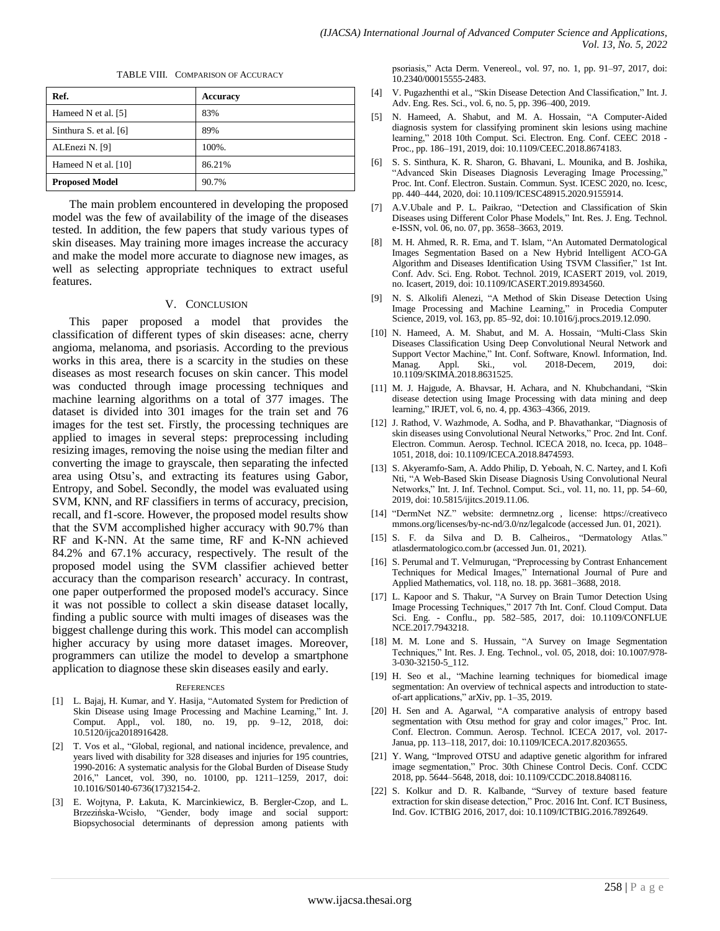TABLE VIII. COMPARISON OF ACCURACY

| Ref.                   | <b>Accuracy</b> |
|------------------------|-----------------|
| Hameed N et al. [5]    | 83%             |
| Sinthura S. et al. [6] | 89%             |
| ALEnezi N. [9]         | 100%.           |
| Hameed N et al. [10]   | 86.21%          |
| <b>Proposed Model</b>  | 90.7%           |

The main problem encountered in developing the proposed model was the few of availability of the image of the diseases tested. In addition, the few papers that study various types of skin diseases. May training more images increase the accuracy and make the model more accurate to diagnose new images, as well as selecting appropriate techniques to extract useful features.

#### V. CONCLUSION

This paper proposed a model that provides the classification of different types of skin diseases: acne, cherry angioma, melanoma, and psoriasis. According to the previous works in this area, there is a scarcity in the studies on these diseases as most research focuses on skin cancer. This model was conducted through image processing techniques and machine learning algorithms on a total of 377 images. The dataset is divided into 301 images for the train set and 76 images for the test set. Firstly, the processing techniques are applied to images in several steps: preprocessing including resizing images, removing the noise using the median filter and converting the image to grayscale, then separating the infected area using Otsu's, and extracting its features using Gabor, Entropy, and Sobel. Secondly, the model was evaluated using SVM, KNN, and RF classifiers in terms of accuracy, precision, recall, and f1-score. However, the proposed model results show that the SVM accomplished higher accuracy with 90.7% than RF and K-NN. At the same time, RF and K-NN achieved 84.2% and 67.1% accuracy, respectively. The result of the proposed model using the SVM classifier achieved better accuracy than the comparison research' accuracy. In contrast, one paper outperformed the proposed model's accuracy. Since it was not possible to collect a skin disease dataset locally, finding a public source with multi images of diseases was the biggest challenge during this work. This model can accomplish higher accuracy by using more dataset images. Moreover, programmers can utilize the model to develop a smartphone application to diagnose these skin diseases easily and early.

#### **REFERENCES**

- [1] L. Bajaj, H. Kumar, and Y. Hasija, "Automated System for Prediction of Skin Disease using Image Processing and Machine Learning," Int. J. Comput. Appl., vol. 180, no. 19, pp. 9–12, 2018, doi: 10.5120/ijca2018916428.
- [2] T. Vos et al., "Global, regional, and national incidence, prevalence, and years lived with disability for 328 diseases and injuries for 195 countries, 1990-2016: A systematic analysis for the Global Burden of Disease Study 2016," Lancet, vol. 390, no. 10100, pp. 1211-1259, 2017, doi: 10.1016/S0140-6736(17)32154-2.
- [3] E. Wojtyna, P. Łakuta, K. Marcinkiewicz, B. Bergler-Czop, and L. Brzezińska-Wcisło, "Gender, body image and social support: Biopsychosocial determinants of depression among patients with

psoriasis," Acta Derm. Venereol., vol. 97, no. 1, pp. 91–97, 2017, doi: 10.2340/00015555-2483.

- [4] V. Pugazhenthi et al., "Skin Disease Detection And Classification," Int. J. Adv. Eng. Res. Sci., vol. 6, no. 5, pp. 396–400, 2019.
- [5] N. Hameed, A. Shabut, and M. A. Hossain, "A Computer-Aided diagnosis system for classifying prominent skin lesions using machine learning," 2018 10th Comput. Sci. Electron. Eng. Conf. CEEC 2018 -Proc., pp. 186–191, 2019, doi: 10.1109/CEEC.2018.8674183.
- [6] S. S. Sinthura, K. R. Sharon, G. Bhavani, L. Mounika, and B. Joshika, "Advanced Skin Diseases Diagnosis Leveraging Image Processing," Proc. Int. Conf. Electron. Sustain. Commun. Syst. ICESC 2020, no. Icesc, pp. 440–444, 2020, doi: 10.1109/ICESC48915.2020.9155914.
- [7] A.V.Ubale and P. L. Paikrao, "Detection and Classification of Skin Diseases using Different Color Phase Models," Int. Res. J. Eng. Technol. e-ISSN, vol. 06, no. 07, pp. 3658–3663, 2019.
- [8] M. H. Ahmed, R. R. Ema, and T. Islam, "An Automated Dermatological Images Segmentation Based on a New Hybrid Intelligent ACO-GA Algorithm and Diseases Identification Using TSVM Classifier," 1st Int. Conf. Adv. Sci. Eng. Robot. Technol. 2019, ICASERT 2019, vol. 2019, no. Icasert, 2019, doi: 10.1109/ICASERT.2019.8934560.
- [9] N. S. Alkolifi Alenezi, "A Method of Skin Disease Detection Using Image Processing and Machine Learning," in Procedia Computer Science, 2019, vol. 163, pp. 85–92, doi: 10.1016/j.procs.2019.12.090.
- [10] N. Hameed, A. M. Shabut, and M. A. Hossain, "Multi-Class Skin Diseases Classification Using Deep Convolutional Neural Network and Support Vector Machine," Int. Conf. Software, Knowl. Information, Ind. Manag. Appl. Ski., vol. 2018-Decem, 2019, doi: 10.1109/SKIMA.2018.8631525.
- [11] M. J. Hajgude, A. Bhavsar, H. Achara, and N. Khubchandani, "Skin disease detection using Image Processing with data mining and deep learning," IRJET, vol. 6, no. 4, pp. 4363-4366, 2019.
- [12] J. Rathod, V. Wazhmode, A. Sodha, and P. Bhavathankar, "Diagnosis of skin diseases using Convolutional Neural Networks," Proc. 2nd Int. Conf. Electron. Commun. Aerosp. Technol. ICECA 2018, no. Iceca, pp. 1048– 1051, 2018, doi: 10.1109/ICECA.2018.8474593.
- [13] S. Akyeramfo-Sam, A. Addo Philip, D. Yeboah, N. C. Nartey, and I. Kofi Nti, "A Web-Based Skin Disease Diagnosis Using Convolutional Neural Networks," Int. J. Inf. Technol. Comput. Sci., vol. 11, no. 11, pp. 54–60, 2019, doi: 10.5815/ijitcs.2019.11.06.
- [14] "DermNet NZ." website: dermnetnz.org, license: https://creativeco mmons.org/licenses/by-nc-nd/3.0/nz/legalcode (accessed Jun. 01, 2021).
- [15] S. F. da Silva and D. B. Calheiros., "Dermatology Atlas." atlasdermatologico.com.br (accessed Jun. 01, 2021).
- [16] S. Perumal and T. Velmurugan, "Preprocessing by Contrast Enhancement Techniques for Medical Images," International Journal of Pure and Applied Mathematics, vol. 118, no. 18. pp. 3681–3688, 2018.
- [17] L. Kapoor and S. Thakur, "A Survey on Brain Tumor Detection Using Image Processing Techniques," 2017 7th Int. Conf. Cloud Comput. Data Sci. Eng. - Conflu., pp. 582–585, 2017, doi: 10.1109/CONFLUE NCE.2017.7943218.
- [18] M. M. Lone and S. Hussain, "A Survey on Image Segmentation Techniques," Int. Res. J. Eng. Technol., vol. 05, 2018, doi: 10.1007/978-3-030-32150-5\_112.
- [19] H. Seo et al., "Machine learning techniques for biomedical image segmentation: An overview of technical aspects and introduction to state– of-art applications," arXiv, pp. 1-35, 2019.
- [20] H. Sen and A. Agarwal, "A comparative analysis of entropy based segmentation with Otsu method for gray and color images," Proc. Int. Conf. Electron. Commun. Aerosp. Technol. ICECA 2017, vol. 2017- Janua, pp. 113–118, 2017, doi: 10.1109/ICECA.2017.8203655.
- [21] Y. Wang, "Improved OTSU and adaptive genetic algorithm for infrared image segmentation," Proc. 30th Chinese Control Decis. Conf. CCDC 2018, pp. 5644–5648, 2018, doi: 10.1109/CCDC.2018.8408116.
- [22] S. Kolkur and D. R. Kalbande, "Survey of texture based feature extraction for skin disease detection," Proc. 2016 Int. Conf. ICT Business, Ind. Gov. ICTBIG 2016, 2017, doi: 10.1109/ICTBIG.2016.7892649.